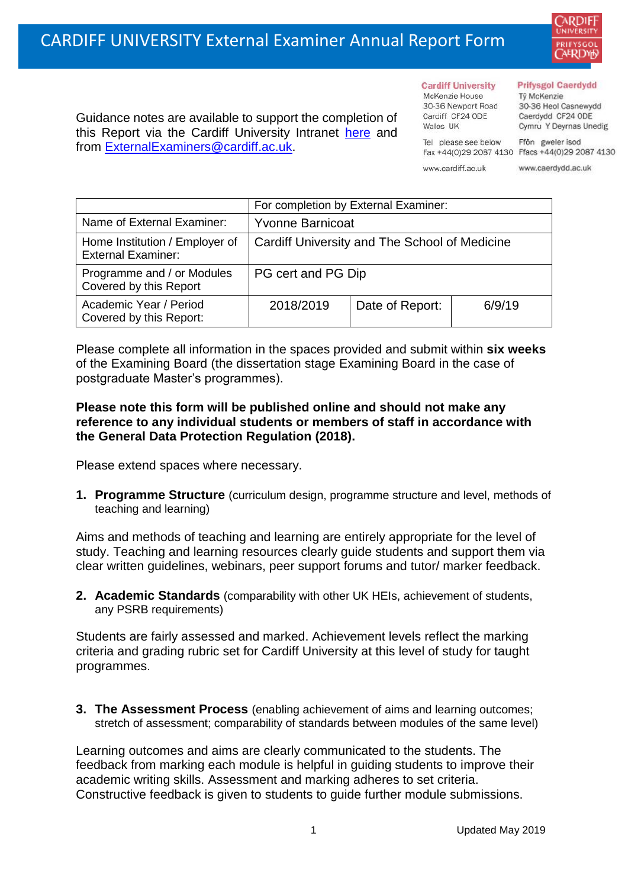

Guidance notes are available to support the completion of this Report via the Cardiff University Intranet [here](https://intranet.cardiff.ac.uk/staff/teaching-and-supporting-students/exams-and-assessment/exam-boards-and-external-examiners/for-current-external-examiners/external-examiners-reports) and from [ExternalExaminers@cardiff.ac.uk.](mailto:ExternalExaminers@cardiff.ac.uk)

**Cardiff University** McKenzie House 30-36 Newport Road Cardiff CF24 ODE

Tel please see below

Wales UK

## **Prifysgol Caerdydd**

Từ McKenzie 30-36 Heol Casnewydd Caerdydd CF24 ODE Cymru Y Deyrnas Unedig

Ffôn gweler isod Fax +44(0)29 2087 4130 Ffacs +44(0)29 2087 4130

www.cardiff.ac.uk

www.caerdydd.ac.uk

|                                                             | For completion by External Examiner:          |                 |        |  |
|-------------------------------------------------------------|-----------------------------------------------|-----------------|--------|--|
| Name of External Examiner:                                  | <b>Yvonne Barnicoat</b>                       |                 |        |  |
| Home Institution / Employer of<br><b>External Examiner:</b> | Cardiff University and The School of Medicine |                 |        |  |
| Programme and / or Modules<br>Covered by this Report        | PG cert and PG Dip                            |                 |        |  |
| Academic Year / Period<br>Covered by this Report:           | 2018/2019                                     | Date of Report: | 6/9/19 |  |

Please complete all information in the spaces provided and submit within **six weeks** of the Examining Board (the dissertation stage Examining Board in the case of postgraduate Master's programmes).

## **Please note this form will be published online and should not make any reference to any individual students or members of staff in accordance with the General Data Protection Regulation (2018).**

Please extend spaces where necessary.

**1. Programme Structure** (curriculum design, programme structure and level, methods of teaching and learning)

Aims and methods of teaching and learning are entirely appropriate for the level of study. Teaching and learning resources clearly guide students and support them via clear written guidelines, webinars, peer support forums and tutor/ marker feedback.

**2. Academic Standards** (comparability with other UK HEIs, achievement of students, any PSRB requirements)

Students are fairly assessed and marked. Achievement levels reflect the marking criteria and grading rubric set for Cardiff University at this level of study for taught programmes.

**3. The Assessment Process** (enabling achievement of aims and learning outcomes; stretch of assessment; comparability of standards between modules of the same level)

Learning outcomes and aims are clearly communicated to the students. The feedback from marking each module is helpful in guiding students to improve their academic writing skills. Assessment and marking adheres to set criteria. Constructive feedback is given to students to guide further module submissions.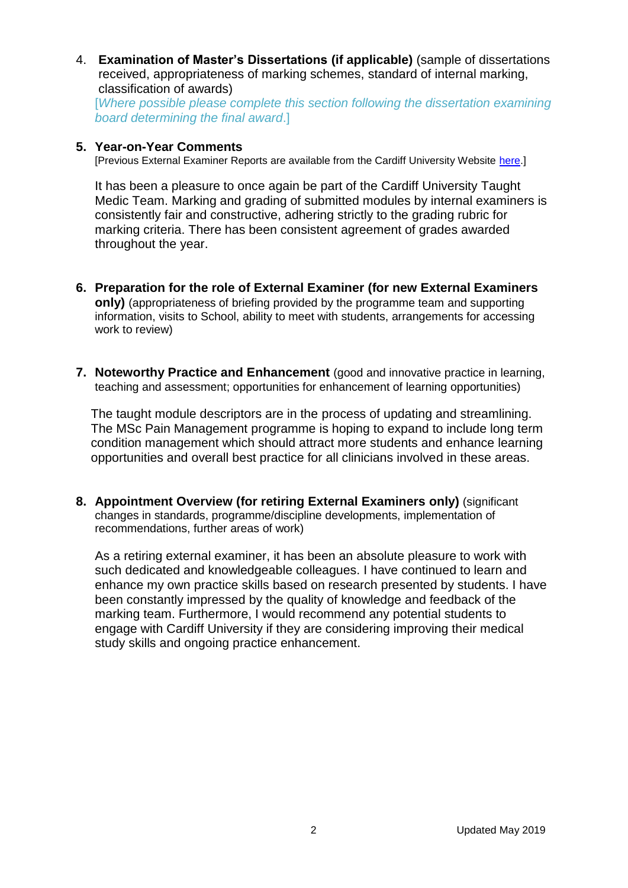4. **Examination of Master's Dissertations (if applicable)** (sample of dissertations received, appropriateness of marking schemes, standard of internal marking, classification of awards)

[*Where possible please complete this section following the dissertation examining board determining the final award*.]

## **5. Year-on-Year Comments**

[Previous External Examiner Reports are available from the Cardiff University Website [here.](https://www.cardiff.ac.uk/public-information/quality-and-standards/external-examiner-reports)]

It has been a pleasure to once again be part of the Cardiff University Taught Medic Team. Marking and grading of submitted modules by internal examiners is consistently fair and constructive, adhering strictly to the grading rubric for marking criteria. There has been consistent agreement of grades awarded throughout the year.

- **6. Preparation for the role of External Examiner (for new External Examiners only)** (appropriateness of briefing provided by the programme team and supporting information, visits to School, ability to meet with students, arrangements for accessing work to review)
- **7. Noteworthy Practice and Enhancement** (good and innovative practice in learning, teaching and assessment; opportunities for enhancement of learning opportunities)

The taught module descriptors are in the process of updating and streamlining. The MSc Pain Management programme is hoping to expand to include long term condition management which should attract more students and enhance learning opportunities and overall best practice for all clinicians involved in these areas.

**8. Appointment Overview (for retiring External Examiners only)** (significant changes in standards, programme/discipline developments, implementation of recommendations, further areas of work)

As a retiring external examiner, it has been an absolute pleasure to work with such dedicated and knowledgeable colleagues. I have continued to learn and enhance my own practice skills based on research presented by students. I have been constantly impressed by the quality of knowledge and feedback of the marking team. Furthermore, I would recommend any potential students to engage with Cardiff University if they are considering improving their medical study skills and ongoing practice enhancement.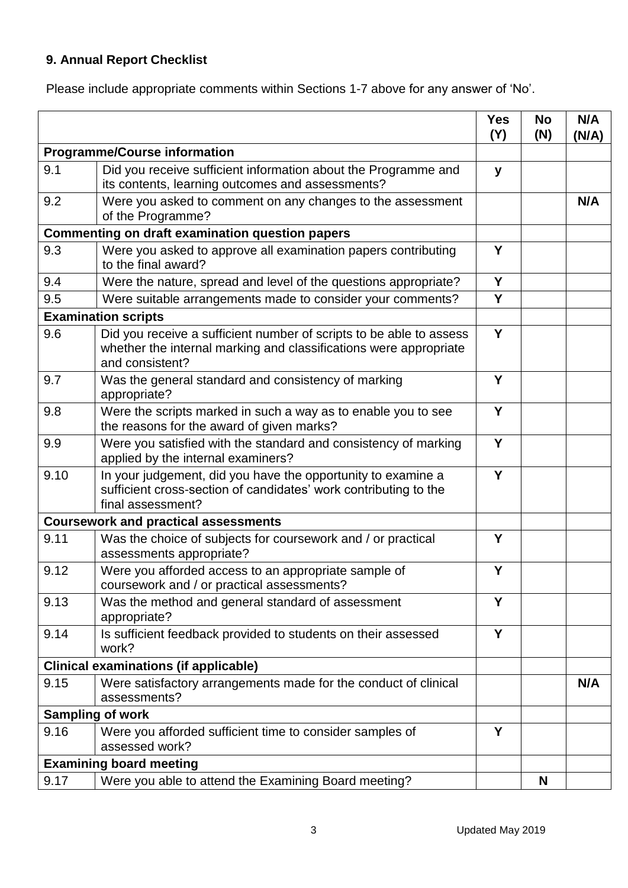## **9. Annual Report Checklist**

Please include appropriate comments within Sections 1-7 above for any answer of 'No'.

|                                                        |                                                                                                                                                             | <b>Yes</b><br>(Y) | <b>No</b><br>(N) | N/A<br>(N/A) |
|--------------------------------------------------------|-------------------------------------------------------------------------------------------------------------------------------------------------------------|-------------------|------------------|--------------|
| <b>Programme/Course information</b>                    |                                                                                                                                                             |                   |                  |              |
| 9.1                                                    | Did you receive sufficient information about the Programme and<br>its contents, learning outcomes and assessments?                                          | y                 |                  |              |
| 9.2                                                    | Were you asked to comment on any changes to the assessment<br>of the Programme?                                                                             |                   |                  | N/A          |
| <b>Commenting on draft examination question papers</b> |                                                                                                                                                             |                   |                  |              |
| 9.3                                                    | Were you asked to approve all examination papers contributing<br>to the final award?                                                                        | Y                 |                  |              |
| 9.4                                                    | Were the nature, spread and level of the questions appropriate?                                                                                             | Y                 |                  |              |
| 9.5                                                    | Were suitable arrangements made to consider your comments?                                                                                                  | Y                 |                  |              |
| <b>Examination scripts</b>                             |                                                                                                                                                             |                   |                  |              |
| 9.6                                                    | Did you receive a sufficient number of scripts to be able to assess<br>whether the internal marking and classifications were appropriate<br>and consistent? | Y                 |                  |              |
| 9.7                                                    | Was the general standard and consistency of marking<br>appropriate?                                                                                         | Y                 |                  |              |
| 9.8                                                    | Were the scripts marked in such a way as to enable you to see<br>the reasons for the award of given marks?                                                  | Y                 |                  |              |
| 9.9                                                    | Were you satisfied with the standard and consistency of marking<br>applied by the internal examiners?                                                       | Y                 |                  |              |
| 9.10                                                   | In your judgement, did you have the opportunity to examine a<br>sufficient cross-section of candidates' work contributing to the<br>final assessment?       | Y                 |                  |              |
|                                                        | <b>Coursework and practical assessments</b>                                                                                                                 |                   |                  |              |
| 9.11                                                   | Was the choice of subjects for coursework and / or practical<br>assessments appropriate?                                                                    | Y                 |                  |              |
| 9.12                                                   | Were you afforded access to an appropriate sample of<br>coursework and / or practical assessments?                                                          | Y                 |                  |              |
| 9.13                                                   | Was the method and general standard of assessment<br>appropriate?                                                                                           | Y                 |                  |              |
| 9.14                                                   | Is sufficient feedback provided to students on their assessed<br>work?                                                                                      | Y                 |                  |              |
|                                                        | <b>Clinical examinations (if applicable)</b>                                                                                                                |                   |                  |              |
| 9.15                                                   | Were satisfactory arrangements made for the conduct of clinical<br>assessments?                                                                             |                   |                  | N/A          |
|                                                        | <b>Sampling of work</b>                                                                                                                                     |                   |                  |              |
| 9.16                                                   | Were you afforded sufficient time to consider samples of<br>assessed work?                                                                                  | Y                 |                  |              |
|                                                        | <b>Examining board meeting</b>                                                                                                                              |                   |                  |              |
| 9.17                                                   | Were you able to attend the Examining Board meeting?                                                                                                        |                   | N                |              |